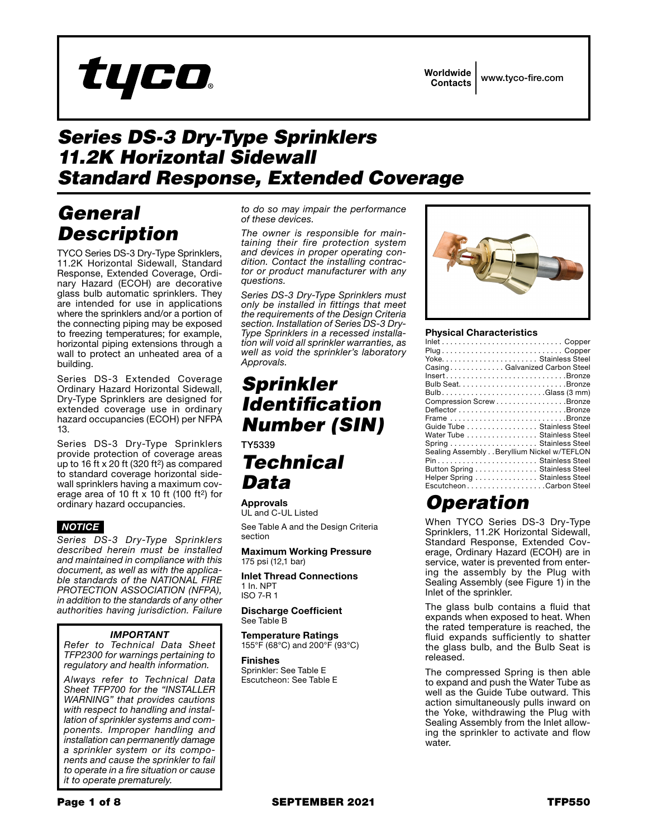

Worldwide www.tyco-fire.com **Contacts** 

# **Series DS-3 Dry-Type Sprinklers 11.2K Horizontal Sidewall Standard Response, Extended Coverage**

# General **Description**

TYCO Series DS-3 Dry-Type Sprinklers, 11.2K Horizontal Sidewall, Standard Response, Extended Coverage, Ordinary Hazard (ECOH) are decorative glass bulb automatic sprinklers. They are intended for use in applications where the sprinklers and/or a portion of the connecting piping may be exposed to freezing temperatures; for example, horizontal piping extensions through a wall to protect an unheated area of a building.

Series DS-3 Extended Coverage Ordinary Hazard Horizontal Sidewall, Dry-Type Sprinklers are designed for extended coverage use in ordinary hazard occupancies (ECOH) per NFPA  $13.$ 

Series DS-3 Dry-Type Sprinklers provide protection of coverage areas up to 16 ft x 20 ft (320 ft<sup>2</sup>) as compared to standard coverage horizontal sidewall sprinklers having a maximum coverage area of 10 ft  $\times$  10 ft (100 ft<sup>2</sup>) for ordinary hazard occupancies.

# **NOTICE**

Series DS-3 Dry-Type Sprinklers described herein must be installed and maintained in compliance with this document, as well as with the applicable standards of the NATIONAL FIRE PROTECTION ASSOCIATION (NFPA), in addition to the standards of any other authorities having jurisdiction. Failure

# **IMPORTANT**

Refer to Technical Data Sheet TFP2300 for warnings pertaining to regulatory and health information.

Always refer to Technical Data Sheet TFP700 for the "INSTALLER **WARNING**" that provides cautions with respect to handling and installation of sprinkler systems and components. Improper handling and installation can permanently damage a sprinkler system or its components and cause the sprinkler to fail to operate in a fire situation or cause it to operate prematurely.

to do so may impair the performance of these devices.

The owner is responsible for maintaining their fire protection system and devices in proper operating condition. Contact the installing contractor or product manufacturer with any questions.

Series DS-3 Dry-Type Sprinklers must only be installed in fittings that meet the requirements of the Design Criteria section. Installation of Series DS-3 Dry-Type Sprinklers in a recessed installation will void all sprinkler warranties, as well as void the sprinkler's laboratory Approvals.

# **Sprinkler Identification Number (SIN)**

TY5339

# **Technical** Data

**Approvals** UL and C-UL Listed

See Table A and the Design Criteria section

**Maximum Working Pressure** 175 psi (12,1 bar)

**Inlet Thread Connections** 1 In. NPT **ISO 7-R1** 

**Discharge Coefficient** See Table B

**Temperature Ratings** 155°F (68°C) and 200°F (93°C)

**Finishes** Sprinkler: See Table E Escutcheon: See Table E



### **Physical Characteristics**

| CasingGalvanized Carbon Steel              |
|--------------------------------------------|
| InsertBronze                               |
|                                            |
| BulbGlass $(3 \text{ mm})$                 |
| Compression Screw Bronze                   |
|                                            |
| Frame Bronze                               |
| Guide Tube Stainless Steel                 |
| Water Tube  Stainless Steel                |
|                                            |
| Sealing Assembly Beryllium Nickel w/TEFLON |
| Pin Stainless Steel                        |
| Button Spring Stainless Steel              |
| Helper Spring Stainless Steel              |
| EscutcheonCarbon Steel                     |

# **Operation**

When TYCO Series DS-3 Dry-Type Sprinklers, 11.2K Horizontal Sidewall, Standard Response, Extended Coverage, Ordinary Hazard (ECOH) are in service, water is prevented from entering the assembly by the Plug with Sealing Assembly (see Figure 1) in the Inlet of the sprinkler.

The glass bulb contains a fluid that expands when exposed to heat. When the rated temperature is reached, the fluid expands sufficiently to shatter the glass bulb, and the Bulb Seat is released.

The compressed Spring is then able to expand and push the Water Tube as well as the Guide Tube outward. This action simultaneously pulls inward on the Yoke, withdrawing the Plug with Sealing Assembly from the Inlet allowing the sprinkler to activate and flow water.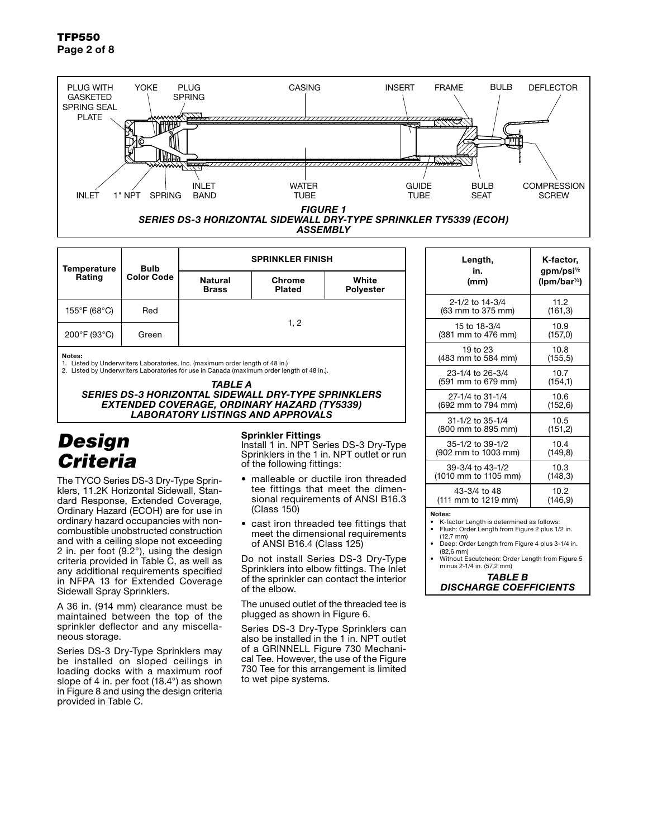

*ASSEMBLY*

| <b>Temperature</b><br>Rating | <b>Bulb</b><br><b>Color Code</b> | <b>SPRINKLER FINISH</b>        |                         |                           |  |
|------------------------------|----------------------------------|--------------------------------|-------------------------|---------------------------|--|
|                              |                                  | <b>Natural</b><br><b>Brass</b> | Chrome<br><b>Plated</b> | White<br><b>Polyester</b> |  |
| 155°F (68°C)                 | Red                              | 1, 2                           |                         |                           |  |
| 200°F (93°C)                 | Green                            |                                |                         |                           |  |

#### Notes:

1. Listed by Underwriters Laboratories, Inc. (maximum order length of 48 in.)

2. Listed by Underwriters Laboratories for use in Canada (maximum order length of 48 in.).

*TABLE A*

### *SERIES DS-3 HORIZONTAL SIDEWALL DRY-TYPE SPRINKLERS EXTENDED COVERAGE, ORDINARY HAZARD (TY5339) LABORATORY LISTINGS AND APPROVALS*

# *Design Criteria*

The TYCO Series DS-3 Dry-Type Sprinklers, 11.2K Horizontal Sidewall, Standard Response, Extended Coverage, Ordinary Hazard (ECOH) are for use in ordinary hazard occupancies with noncombustible unobstructed construction and with a ceiling slope not exceeding 2 in. per foot (9.2°), using the design criteria provided in Table C, as well as any additional requirements specified in NFPA 13 for Extended Coverage Sidewall Spray Sprinklers.

A 36 in. (914 mm) clearance must be maintained between the top of the sprinkler deflector and any miscellaneous storage.

Series DS-3 Dry-Type Sprinklers may be installed on sloped ceilings in loading docks with a maximum roof slope of 4 in. per foot (18.4°) as shown in Figure 8 and using the design criteria provided in Table C.

### Sprinkler Fittings

Install 1 in. NPT Series DS-3 Dry-Type Sprinklers in the 1 in. NPT outlet or run of the following fittings:

- malleable or ductile iron threaded tee fittings that meet the dimensional requirements of ANSI B16.3 (Class 150)
- cast iron threaded tee fittings that meet the dimensional requirements of ANSI B16.4 (Class 125)

Do not install Series DS-3 Dry-Type Sprinklers into elbow fittings. The Inlet of the sprinkler can contact the interior of the elbow.

The unused outlet of the threaded tee is plugged as shown in Figure 6.

Series DS-3 Dry-Type Sprinklers can also be installed in the 1 in. NPT outlet of a GRINNELL Figure 730 Mechanical Tee. However, the use of the Figure 730 Tee for this arrangement is limited to wet pipe systems.

| Length,              | K-factor,              |
|----------------------|------------------------|
| in.                  | gpm/psi <sup>1/2</sup> |
| (mm)                 | $(lpm/bar^{1/2})$      |
| 2-1/2 to 14-3/4      | 11.2                   |
| (63 mm to 375 mm)    | (161, 3)               |
| 15 to 18-3/4         | 10.9                   |
| (381 mm to 476 mm)   | (157,0)                |
| 19 to 23             | 10.8                   |
| (483 mm to 584 mm)   | (155, 5)               |
| 23-1/4 to 26-3/4     | 10.7                   |
| (591 mm to 679 mm)   | (154, 1)               |
| 27-1/4 to 31-1/4     | 10.6                   |
| (692 mm to 794 mm)   | (152, 6)               |
| 31-1/2 to 35-1/4     | 10.5                   |
| (800 mm to 895 mm)   | (151, 2)               |
| 35-1/2 to 39-1/2     | 10.4                   |
| (902 mm to 1003 mm)  | (149,8)                |
| 39-3/4 to 43-1/2     | 10.3                   |
| (1010 mm to 1105 mm) | (148, 3)               |
| 43-3/4 to 48         | 10.2                   |
| (111 mm to 1219 mm)  | (146,9)                |

Notes:

- K-factor Length is determined as follows:
- Flush: Order Length from Figure 2 plus 1/2 in. (12,7 mm) Deep: Order Length from Figure 4 plus 3-1/4 in.
- (82,6 mm) • Without Escutcheon: Order Length from Figure 5
- minus 2-1/4 in. (57,2 mm)

*TABLE B DISCHARGE COEFFICIENTS*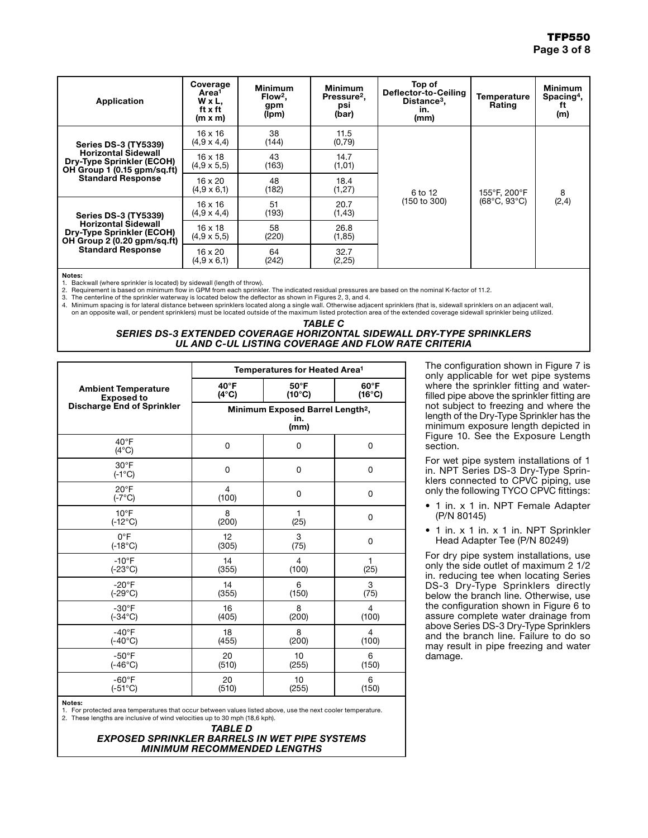| Application                                                                                   | Coverage<br>Area <sup>1</sup><br>W x L,<br>ft x ft<br>$(m \times m)$ | <b>Minimum</b><br>Flow <sup>2</sup> .<br>gpm<br>(lpm) | <b>Minimum</b><br>Pressure <sup>2</sup> .<br>psi<br>(bar) | Top of<br>Deflector-to-Ceiling<br>Distance <sup>3</sup> ,<br>in.<br>(mm) | Temperature<br><b>Rating</b> | <b>Minimum</b><br>$S$ pacing <sup>4</sup> ,<br>Ħ<br>(m) |
|-----------------------------------------------------------------------------------------------|----------------------------------------------------------------------|-------------------------------------------------------|-----------------------------------------------------------|--------------------------------------------------------------------------|------------------------------|---------------------------------------------------------|
| <b>Series DS-3 (TY5339)</b>                                                                   | 16 x 16<br>$(4.9 \times 4.4)$                                        | 38<br>(144)                                           | 11.5<br>(0,79)                                            |                                                                          |                              |                                                         |
| <b>Horizontal Sidewall</b><br><b>Dry-Type Sprinkler (ECOH)</b><br>OH Group 1 (0.15 gpm/sq.ft) | $16 \times 18$<br>$(4.9 \times 5.5)$                                 | 43<br>(163)                                           | 14.7<br>(1,01)                                            | 6 to 12<br>(150 to 300)                                                  | 155°F, 200°F                 | 8<br>(2,4)                                              |
| <b>Standard Response</b>                                                                      | 16 x 20<br>$(4.9 \times 6.1)$                                        | 48<br>(182)                                           | 18.4<br>(1, 27)                                           |                                                                          |                              |                                                         |
| <b>Series DS-3 (TY5339)</b>                                                                   | 16 x 16<br>$(4,9 \times 4,4)$                                        | 51<br>(193)                                           | 20.7<br>(1, 43)                                           |                                                                          | $(68^{\circ}C, 93^{\circ}C)$ |                                                         |
| <b>Horizontal Sidewall</b><br><b>Dry-Type Sprinkler (ECOH)</b><br>OH Group 2 (0.20 gpm/sq.ft) | $16 \times 18$<br>$(4.9 \times 5.5)$                                 | 58<br>(220)                                           | 26.8<br>(1, 85)                                           |                                                                          |                              |                                                         |
| <b>Standard Response</b>                                                                      | 16 x 20<br>$(4,9 \times 6,1)$                                        | 64<br>(242)                                           | 32.7<br>(2, 25)                                           |                                                                          |                              |                                                         |

Notes:

1. Backwall (where sprinkler is located) by sidewall (length of throw).

2. Requirement is based on minimum flow in GPM from each sprinkler. The indicated residual pressures are based on the nominal K-factor of 11.2.

3. The centerline of the sprinkler waterway is located below the deflector as shown in Figures 2, 3, and 4.<br>4. Minimum spacing is for lateral distance between sprinklers located along a single wall. Otherwise adjacent spri on an opposite wall, or pendent sprinklers) must be located outside of the maximum listed protection area of the extended coverage sidewall sprinkler being utilized.

#### *TABLE C SERIES DS-3 EXTENDED COVERAGE HORIZONTAL SIDEWALL DRY-TYPE SPRINKLERS UL AND C-UL LISTING COVERAGE AND FLOW RATE CRITERIA*

|                                   | Temperatures for Heated Area <sup>1</sup>                   |                 |                 |  |  |
|-----------------------------------|-------------------------------------------------------------|-----------------|-----------------|--|--|
| <b>Ambient Temperature</b>        | $40^{\circ}$ F                                              | $50^{\circ}$ F  | $60^{\circ}$ F  |  |  |
| <b>Exposed to</b>                 | $(4^{\circ}C)$                                              | $(10^{\circ}C)$ | $(16^{\circ}C)$ |  |  |
| <b>Discharge End of Sprinkler</b> | Minimum Exposed Barrel Length <sup>2</sup> ,<br>in.<br>(mm) |                 |                 |  |  |
| $40^{\circ}$ F<br>$(4^{\circ}C)$  | 0                                                           | 0               | 0               |  |  |
| $30^{\circ}$ F<br>$(-1^{\circ}C)$ | 0                                                           | 0               | 0               |  |  |
| $20^{\circ}$ F<br>$(-7^{\circ}C)$ | 4<br>(100)                                                  | 0               | 0               |  |  |
| $10^{\circ}$ F                    | 8                                                           | 1               | 0               |  |  |
| $(-12^{\circ}C)$                  | (200)                                                       | (25)            |                 |  |  |
| $0^{\circ}$ F                     | 12                                                          | 3               | 0               |  |  |
| $(-18^{\circ}C)$                  | (305)                                                       | (75)            |                 |  |  |
| $-10^{\circ}$ F                   | 14                                                          | $\overline{4}$  | 1               |  |  |
| $(-23^{\circ}C)$                  | (355)                                                       | (100)           | (25)            |  |  |
| $-20^{\circ}$ F                   | 14                                                          | 6               | 3               |  |  |
| $(-29^{\circ}C)$                  | (355)                                                       | (150)           | (75)            |  |  |
| $-30^{\circ}$ F                   | 16                                                          | 8               | 4               |  |  |
| $(-34^{\circ}C)$                  | (405)                                                       | (200)           | (100)           |  |  |
| $-40^{\circ}$ F                   | 18                                                          | 8               | 4               |  |  |
| $(-40^{\circ}C)$                  | (455)                                                       | (200)           | (100)           |  |  |
| $-50^{\circ}$ F                   | 20                                                          | 10              | 6               |  |  |
| $(-46^{\circ}C)$                  | (510)                                                       | (255)           | (150)           |  |  |
| $-60^{\circ}F$                    | 20                                                          | 10              | 6               |  |  |
| $(-51^{\circ}C)$                  | (510)                                                       | (255)           | (150)           |  |  |

Notes:

1. For protected area temperatures that occur between values listed above, use the next cooler temperature. 2. These lengths are inclusive of wind velocities up to 30 mph (18,6 kph).

> *TABLE D EXPOSED SPRINKLER BARRELS IN WET PIPE SYSTEMS MINIMUM RECOMMENDED LENGTHS*

The configuration shown in Figure 7 is only applicable for wet pipe systems where the sprinkler fitting and waterfilled pipe above the sprinkler fitting are not subject to freezing and where the length of the Dry-Type Sprinkler has the minimum exposure length depicted in Figure 10. See the Exposure Length section.

For wet pipe system installations of 1 in. NPT Series DS-3 Dry-Type Sprinklers connected to CPVC piping, use only the following TYCO CPVC fittings:

- 1 in. x 1 in. NPT Female Adapter (P/N 80145)
- 1 in. x 1 in. x 1 in. NPT Sprinkler Head Adapter Tee (P/N 80249)

For dry pipe system installations, use only the side outlet of maximum 2 1/2 in. reducing tee when locating Series DS-3 Dry-Type Sprinklers directly below the branch line. Otherwise, use the configuration shown in Figure 6 to assure complete water drainage from above Series DS-3 Dry-Type Sprinklers and the branch line. Failure to do so may result in pipe freezing and water damage.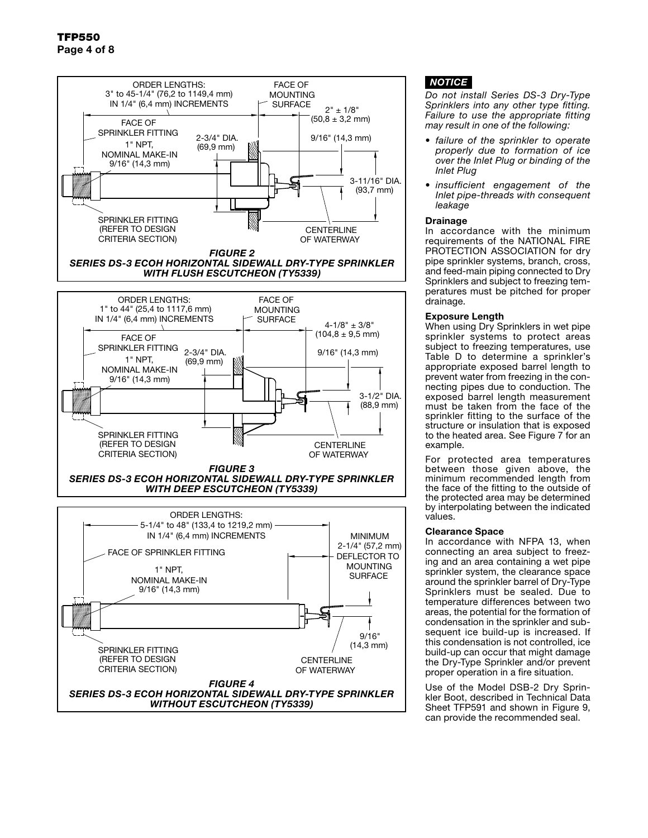

# *NOTICE*

*Do not install Series DS-3 Dry-Type Sprinklers into any other type fitting. Failure to use the appropriate fitting may result in one of the following:*

- *• failure of the sprinkler to operate properly due to formation of ice over the Inlet Plug or binding of the Inlet Plug*
- *• insufficient engagement of the Inlet pipe-threads with consequent leakage*

### Drainage

In accordance with the minimum requirements of the NATIONAL FIRE PROTECTION ASSOCIATION for dry pipe sprinkler systems, branch, cross, and feed-main piping connected to Dry Sprinklers and subject to freezing temperatures must be pitched for proper drainage.

### Exposure Length

When using Dry Sprinklers in wet pipe sprinkler systems to protect areas subject to freezing temperatures, use Table D to determine a sprinkler's appropriate exposed barrel length to prevent water from freezing in the connecting pipes due to conduction. The exposed barrel length measurement must be taken from the face of the sprinkler fitting to the surface of the structure or insulation that is exposed to the heated area. See Figure 7 for an example.

For protected area temperatures between those given above, the minimum recommended length from the face of the fitting to the outside of the protected area may be determined by interpolating between the indicated values.

### Clearance Space

In accordance with NFPA 13, when connecting an area subject to freezing and an area containing a wet pipe sprinkler system, the clearance space around the sprinkler barrel of Dry-Type Sprinklers must be sealed. Due to temperature differences between two areas, the potential for the formation of condensation in the sprinkler and subsequent ice build-up is increased. If this condensation is not controlled, ice build-up can occur that might damage the Dry-Type Sprinkler and/or prevent proper operation in a fire situation.

Use of the Model DSB-2 Dry Sprinkler Boot, described in Technical Data Sheet TFP591 and shown in Figure 9, can provide the recommended seal.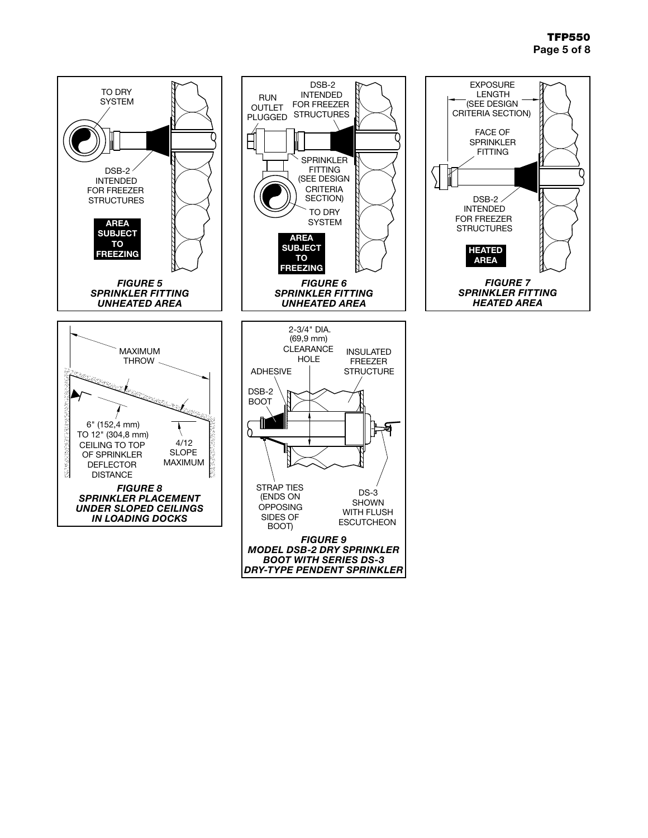# TFP550 Page 5 of 8

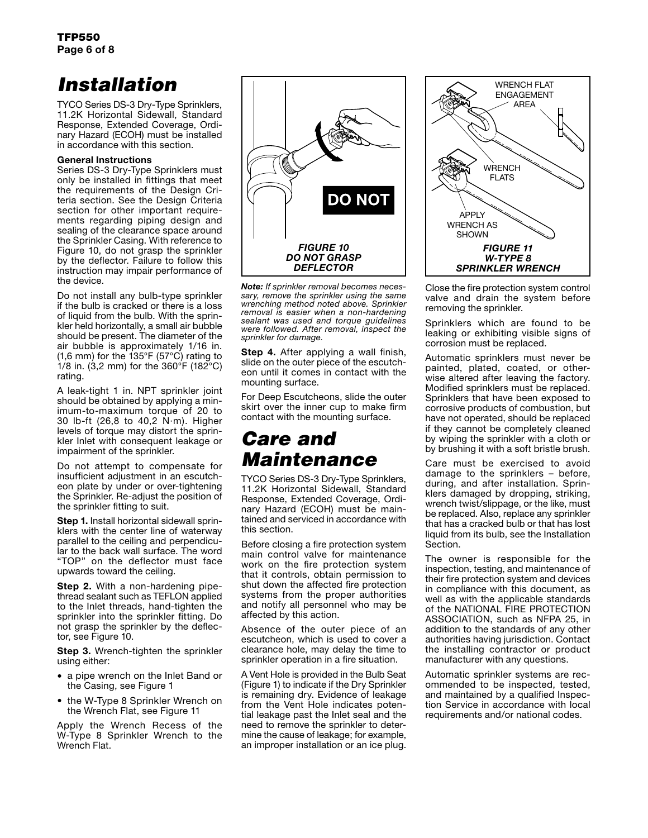# *Installation*

TYCO Series DS-3 Dry-Type Sprinklers, 11.2K Horizontal Sidewall, Standard Response, Extended Coverage, Ordinary Hazard (ECOH) must be installed in accordance with this section.

### General Instructions

Series DS-3 Dry-Type Sprinklers must only be installed in fittings that meet the requirements of the Design Criteria section. See the Design Criteria section for other important requirements regarding piping design and sealing of the clearance space around the Sprinkler Casing. With reference to Figure 10, do not grasp the sprinkler by the deflector. Failure to follow this instruction may impair performance of the device.

Do not install any bulb-type sprinkler if the bulb is cracked or there is a loss of liquid from the bulb. With the sprinkler held horizontally, a small air bubble should be present. The diameter of the air bubble is approximately 1/16 in. (1,6 mm) for the 135°F (57°C) rating to 1/8 in. (3,2 mm) for the  $360^{\circ}$ F (182 $^{\circ}$ C) rating.

A leak-tight 1 in. NPT sprinkler joint should be obtained by applying a minimum-to-maximum torque of 20 to 30 lb-ft (26,8 to 40,2 N·m). Higher levels of torque may distort the sprinkler Inlet with consequent leakage or impairment of the sprinkler.

Do not attempt to compensate for insufficient adjustment in an escutcheon plate by under or over-tightening the Sprinkler. Re-adjust the position of the sprinkler fitting to suit.

**Step 1.** Install horizontal sidewall sprinklers with the center line of waterway parallel to the ceiling and perpendicular to the back wall surface. The word "TOP" on the deflector must face upwards toward the ceiling.

**Step 2.** With a non-hardening pipethread sealant such as TEFLON applied to the Inlet threads, hand-tighten the sprinkler into the sprinkler fitting. Do not grasp the sprinkler by the deflector, see Figure 10.

**Step 3.** Wrench-tighten the sprinkler using either:

- a pipe wrench on the Inlet Band or the Casing, see Figure 1
- the W-Type 8 Sprinkler Wrench on the Wrench Flat, see Figure 11

Apply the Wrench Recess of the W-Type 8 Sprinkler Wrench to the Wrench Flat.



*Note: If sprinkler removal becomes necessary, remove the sprinkler using the same wrenching method noted above. Sprinkler removal is easier when a non-hardening sealant was used and torque guidelines were followed. After removal, inspect the sprinkler for damage.*

**Step 4.** After applying a wall finish, slide on the outer piece of the escutcheon until it comes in contact with the mounting surface.

For Deep Escutcheons, slide the outer skirt over the inner cup to make firm contact with the mounting surface.

# *Care and Maintenance*

TYCO Series DS-3 Dry-Type Sprinklers, 11.2K Horizontal Sidewall, Standard Response, Extended Coverage, Ordinary Hazard (ECOH) must be maintained and serviced in accordance with this section.

Before closing a fire protection system main control valve for maintenance work on the fire protection system that it controls, obtain permission to shut down the affected fire protection systems from the proper authorities and notify all personnel who may be affected by this action.

Absence of the outer piece of an escutcheon, which is used to cover a clearance hole, may delay the time to sprinkler operation in a fire situation.

A Vent Hole is provided in the Bulb Seat (Figure 1) to indicate if the Dry Sprinkler is remaining dry. Evidence of leakage from the Vent Hole indicates potential leakage past the Inlet seal and the need to remove the sprinkler to determine the cause of leakage; for example, an improper installation or an ice plug.



Close the fire protection system control valve and drain the system before removing the sprinkler.

Sprinklers which are found to be leaking or exhibiting visible signs of corrosion must be replaced.

Automatic sprinklers must never be painted, plated, coated, or otherwise altered after leaving the factory. Modified sprinklers must be replaced. Sprinklers that have been exposed to corrosive products of combustion, but have not operated, should be replaced if they cannot be completely cleaned by wiping the sprinkler with a cloth or by brushing it with a soft bristle brush.

Care must be exercised to avoid damage to the sprinklers – before, during, and after installation. Sprinklers damaged by dropping, striking, wrench twist/slippage, or the like, must be replaced. Also, replace any sprinkler that has a cracked bulb or that has lost liquid from its bulb, see the Installation Section.

The owner is responsible for the inspection, testing, and maintenance of their fire protection system and devices in compliance with this document, as well as with the applicable standards of the NATIONAL FIRE PROTECTION ASSOCIATION, such as NFPA 25, in addition to the standards of any other authorities having jurisdiction. Contact the installing contractor or product manufacturer with any questions.

Automatic sprinkler systems are recommended to be inspected, tested, and maintained by a qualified Inspection Service in accordance with local requirements and/or national codes.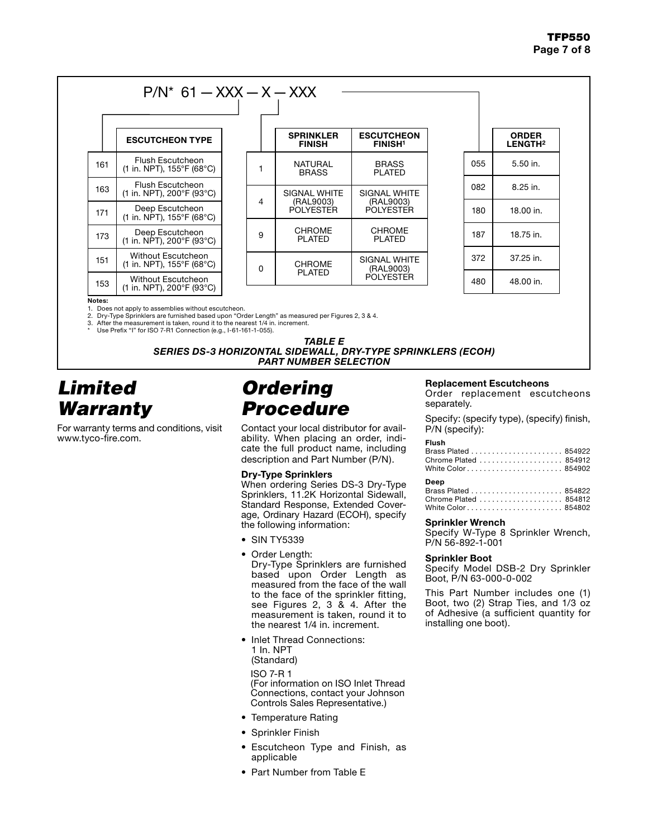|     | <b>ESCUTCHEON TYPE</b>                                             |   | <b>SPRINKLER</b><br><b>FINISH</b>  | <b>ESCUTCHEON</b><br><b>FINISH1</b> |     | <b>ORDER</b><br>LENGTH <sup>2</sup> |
|-----|--------------------------------------------------------------------|---|------------------------------------|-------------------------------------|-----|-------------------------------------|
| 161 | <b>Flush Escutcheon</b><br>$(1 \text{ in. } NPT)$ , 155°F (68°C)   |   | <b>NATURAL</b><br><b>BRASS</b>     | <b>BRASS</b><br><b>PLATED</b>       | 055 | 5.50 in.                            |
| 163 | Flush Escutcheon<br>(1 in. NPT), 200°F (93°C)                      |   | <b>SIGNAL WHITE</b>                | <b>SIGNAL WHITE</b>                 | 082 | $8.25$ in.                          |
| 171 | Deep Escutcheon<br>$(1 \text{ in. } NPT)$ , 155°F (68°C)           |   | 4<br>(RAL9003)<br><b>POLYESTER</b> | (RAL9003)<br><b>POLYESTER</b>       | 180 | 18.00 in.                           |
| 173 | Deep Escutcheon<br>$(1 \text{ in. } NPT)$ , 200°F (93°C)           | 9 | <b>CHROME</b><br><b>PLATED</b>     | <b>CHROME</b><br><b>PLATED</b>      | 187 | 18.75 in.                           |
| 151 | <b>Without Escutcheon</b><br>$(1 \text{ in. } NPT)$ , 155°F (68°C) | 0 | <b>CHROME</b>                      | SIGNAL WHITE<br>(RAL9003)           | 372 | 37.25 in.                           |
| 153 | Without Escutcheon<br>$(1 \text{ in. } \text{NPT})$ , 200°F (93°C) |   | <b>PLATED</b>                      | <b>POLYESTER</b>                    | 480 | 48.00 in.                           |

red per Figures 2, 3 & 4.

2. Figure measurement is taken, round it to the nearest 1/4 in. increment.<br>3. After the measurement is taken, round it to the nearest 1/4 in. increment.<br>\* Use Prefix "I" for ISO 7-R1 Connection (e.g., I-61-161-1-055).

**TABLE E SERIES DS-3 HORIZONTAL SIDEWALL, DRY-TYPE SPRINKLERS (ECOH) PART NUMBER SELECTION** 

# **Limited Warranty**

For warranty terms and conditions, visit www.tyco-fire.com.

# **Ordering Procedure**

Contact your local distributor for availability. When placing an order, indicate the full product name, including description and Part Number (P/N).

#### **Dry-Type Sprinklers**

When ordering Series DS-3 Dry-Type Sprinklers, 11.2K Horizontal Sidewall, Standard Response, Extended Coverage, Ordinary Hazard (ECOH), specify the following information:

- SIN TY5339
- Order Length:

Dry-Type Sprinklers are furnished based upon Order Length as measured from the face of the wall to the face of the sprinkler fitting, see Figures 2, 3 & 4. After the measurement is taken, round it to the nearest 1/4 in. increment.

• Inlet Thread Connections: 1 In. NPT (Standard)

**ISO 7-R1** (For information on ISO Inlet Thread Connections, contact your Johnson Controls Sales Representative.)

- Temperature Rating
- Sprinkler Finish
- Escutcheon Type and Finish, as applicable
- Part Number from Table E

### **Replacement Escutcheons**

Order replacement escutcheons separately.

Specify: (specify type), (specify) finish, P/N (specify):

#### **Flush**

### Deep

| Chrome Plated  854812 |  |
|-----------------------|--|
|                       |  |

### **Sprinkler Wrench**

Specify W-Type 8 Sprinkler Wrench, P/N 56-892-1-001

#### **Sprinkler Boot**

Specify Model DSB-2 Dry Sprinkler Boot. P/N 63-000-0-002

This Part Number includes one (1) Boot, two (2) Strap Ties, and 1/3 oz of Adhesive (a sufficient quantity for installing one boot).